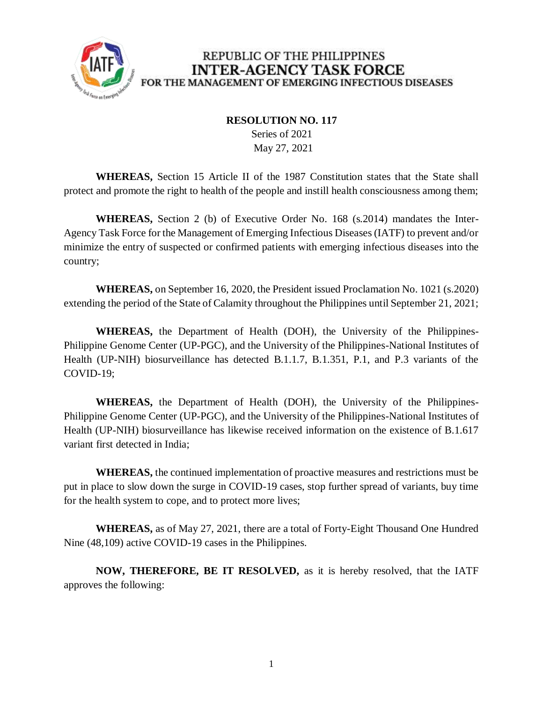

## REPUBLIC OF THE PHILIPPINES **INTER-AGENCY TASK FORCE** FOR THE MANAGEMENT OF EMERGING INFECTIOUS DISEASES

## **RESOLUTION NO. 117**

 Series of 2021 May 27, 2021

**WHEREAS,** Section 15 Article II of the 1987 Constitution states that the State shall protect and promote the right to health of the people and instill health consciousness among them;

**WHEREAS,** Section 2 (b) of Executive Order No. 168 (s.2014) mandates the Inter-Agency Task Force for the Management of Emerging Infectious Diseases (IATF) to prevent and/or minimize the entry of suspected or confirmed patients with emerging infectious diseases into the country;

**WHEREAS,** on September 16, 2020, the President issued Proclamation No. 1021 (s.2020) extending the period of the State of Calamity throughout the Philippines until September 21, 2021;

**WHEREAS,** the Department of Health (DOH), the University of the Philippines-Philippine Genome Center (UP-PGC), and the University of the Philippines-National Institutes of Health (UP-NIH) biosurveillance has detected B.1.1.7, B.1.351, P.1, and P.3 variants of the COVID-19;

**WHEREAS,** the Department of Health (DOH), the University of the Philippines-Philippine Genome Center (UP-PGC), and the University of the Philippines-National Institutes of Health (UP-NIH) biosurveillance has likewise received information on the existence of B.1.617 variant first detected in India;

**WHEREAS,** the continued implementation of proactive measures and restrictions must be put in place to slow down the surge in COVID-19 cases, stop further spread of variants, buy time for the health system to cope, and to protect more lives;

**WHEREAS,** as of May 27, 2021, there are a total of Forty-Eight Thousand One Hundred Nine (48,109) active COVID-19 cases in the Philippines.

**NOW, THEREFORE, BE IT RESOLVED,** as it is hereby resolved, that the IATF approves the following: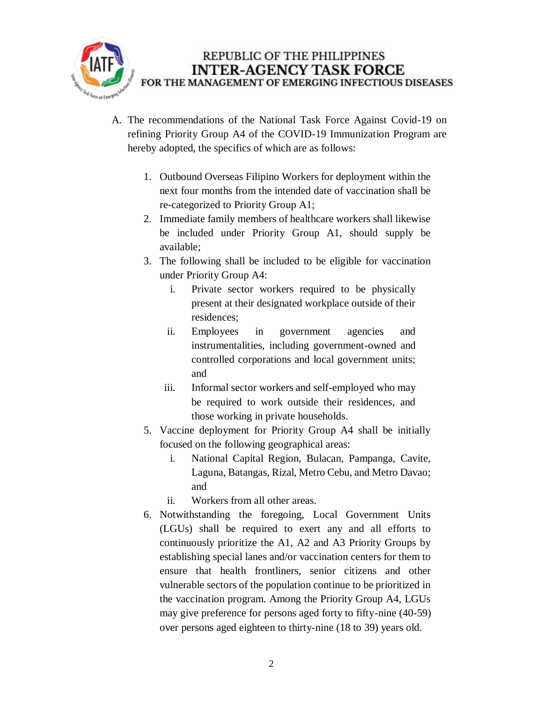

- A. The recommendations of the National Task Force Against Covid-19 on refining Priority Group A4 of the COVID-19 Immunization Program are hereby adopted, the specifics of which are as follows:
	- 1. Outbound Overseas Filipino Workers for deployment within the next four months from the intended date of vaccination shall be re-categorized to Priority Group A1;
	- 2. Immediate family members of healthcare workers shall likewise be included under Priority Group A1, should supply be available;
	- 3. The following shall be included to be eligible for vaccination under Priority Group A4:
		- i. Private sector workers required to be physically present at their designated workplace outside of their residences;
		- ii. Employees in government agencies and instrumentalities, including government-owned and controlled corporations and local government units; and
		- iii. Informal sector workers and self-employed who may be required to work outside their residences, and those working in private households.
	- 5. Vaccine deployment for Priority Group A4 shall be initially focused on the following geographical areas:
		- i. National Capital Region, Bulacan, Pampanga, Cavite, Laguna, Batangas, Rizal, Metro Cebu, and Metro Davao; and
		- ii. Workers from all other areas.
	- 6. Notwithstanding the foregoing, Local Government Units (LGUs) shall be required to exert any and all efforts to continuously prioritize the A1, A2 and A3 Priority Groups by establishing special lanes and/or vaccination centers for them to ensure that health frontliners, senior citizens and other vulnerable sectors of the population continue to be prioritized in the vaccination program. Among the Priority Group A4, LGUs may give preference for persons aged forty to fifty-nine (40-59) over persons aged eighteen to thirty-nine (18 to 39) years old.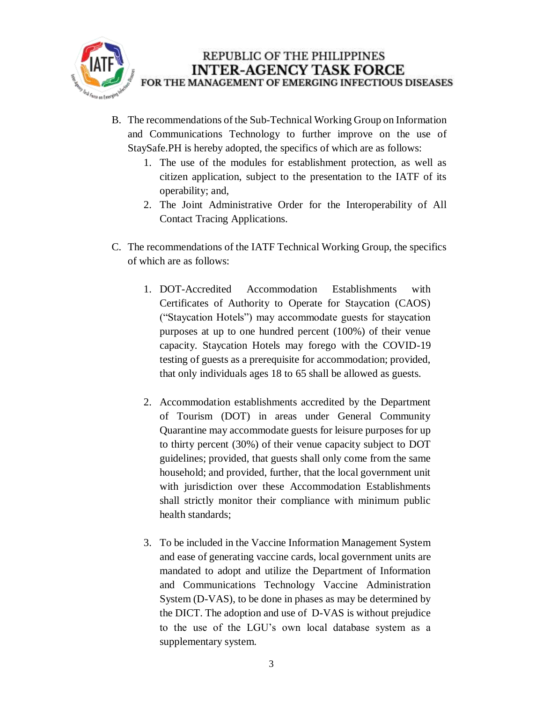

- B. The recommendations of the Sub-Technical Working Group on Information and Communications Technology to further improve on the use of StaySafe.PH is hereby adopted, the specifics of which are as follows:
	- 1. The use of the modules for establishment protection, as well as citizen application, subject to the presentation to the IATF of its operability; and,
	- 2. The Joint Administrative Order for the Interoperability of All Contact Tracing Applications.
- C. The recommendations of the IATF Technical Working Group, the specifics of which are as follows:
	- 1. DOT-Accredited Accommodation Establishments with Certificates of Authority to Operate for Staycation (CAOS) ("Staycation Hotels") may accommodate guests for staycation purposes at up to one hundred percent (100%) of their venue capacity. Staycation Hotels may forego with the COVID-19 testing of guests as a prerequisite for accommodation; provided, that only individuals ages 18 to 65 shall be allowed as guests.
	- 2. Accommodation establishments accredited by the Department of Tourism (DOT) in areas under General Community Quarantine may accommodate guests for leisure purposes for up to thirty percent (30%) of their venue capacity subject to DOT guidelines; provided, that guests shall only come from the same household; and provided, further, that the local government unit with jurisdiction over these Accommodation Establishments shall strictly monitor their compliance with minimum public health standards;
	- 3. To be included in the Vaccine Information Management System and ease of generating vaccine cards, local government units are mandated to adopt and utilize the Department of Information and Communications Technology Vaccine Administration System (D-VAS), to be done in phases as may be determined by the DICT. The adoption and use of D-VAS is without prejudice to the use of the LGU's own local database system as a supplementary system.